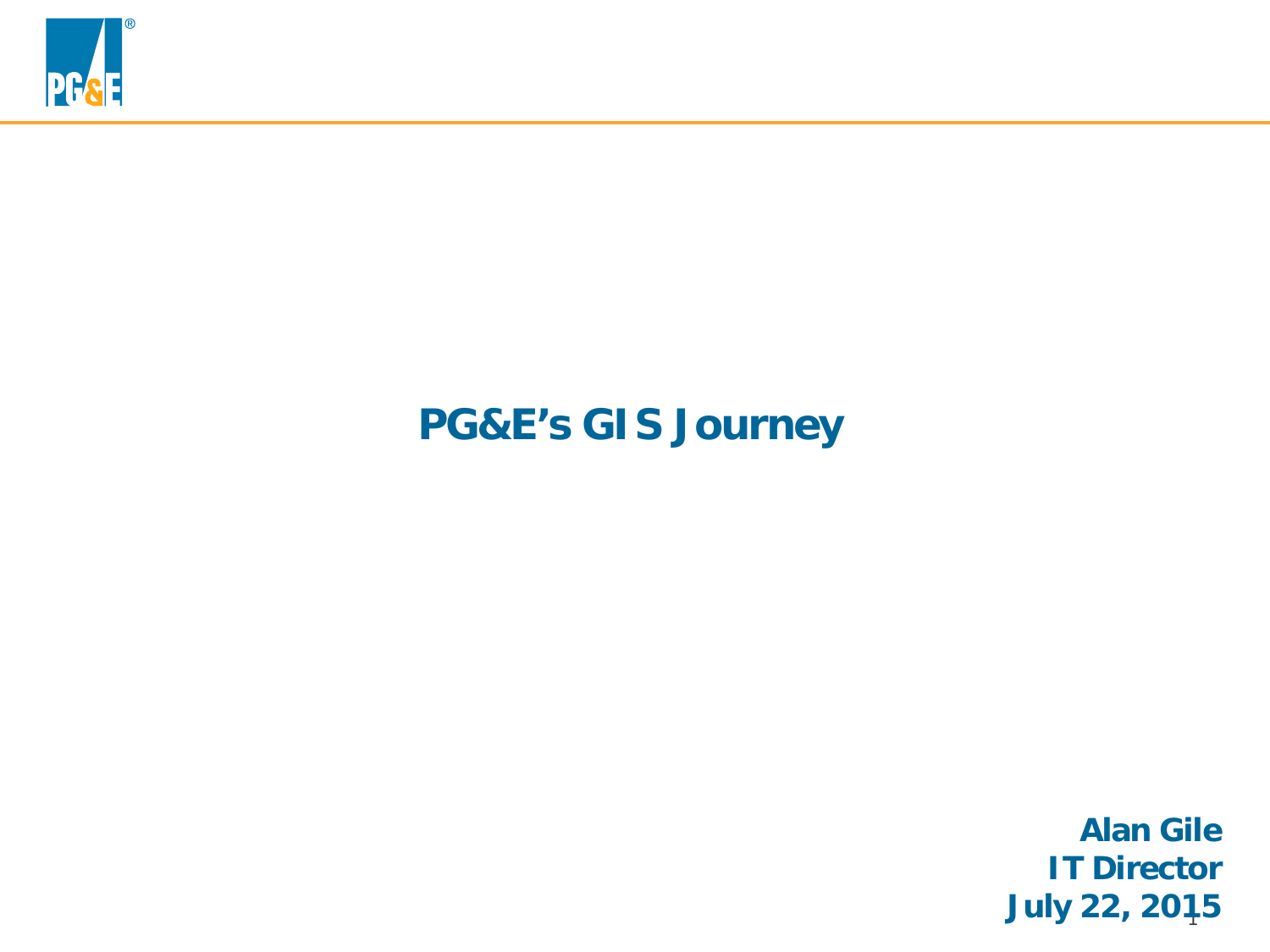

## **PG&E's GIS Journey**

1 **July 22, 2015Alan Gile IT Director**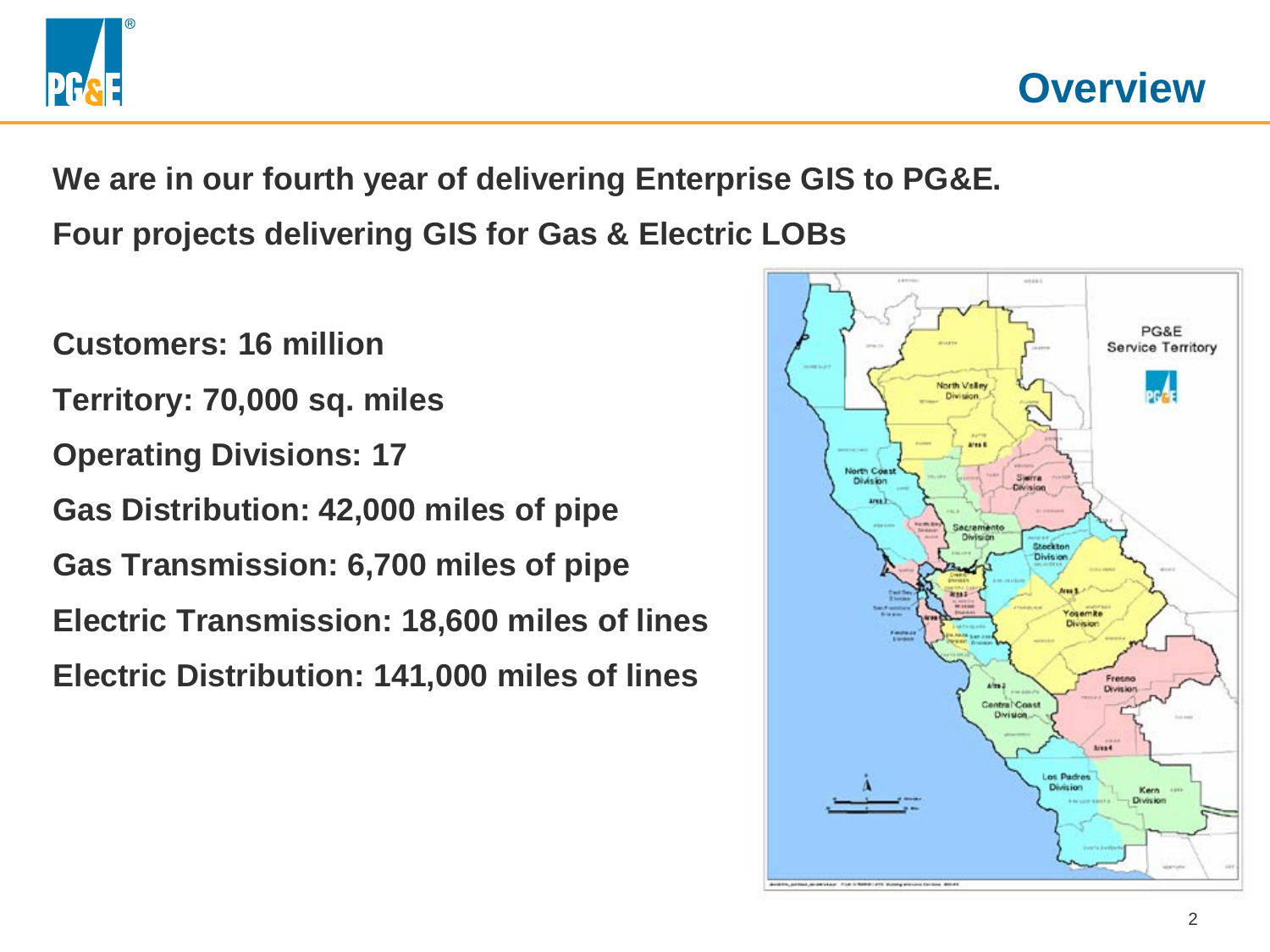

**We are in our fourth year of delivering Enterprise GIS to PG&E.**

**Four projects delivering GIS for Gas & Electric LOBs**

**Customers: 16 million Territory: 70,000 sq. miles Operating Divisions: 17 Gas Distribution: 42,000 miles of pipe Gas Transmission: 6,700 miles of pipe Electric Transmission: 18,600 miles of lines Electric Distribution: 141,000 miles of lines**

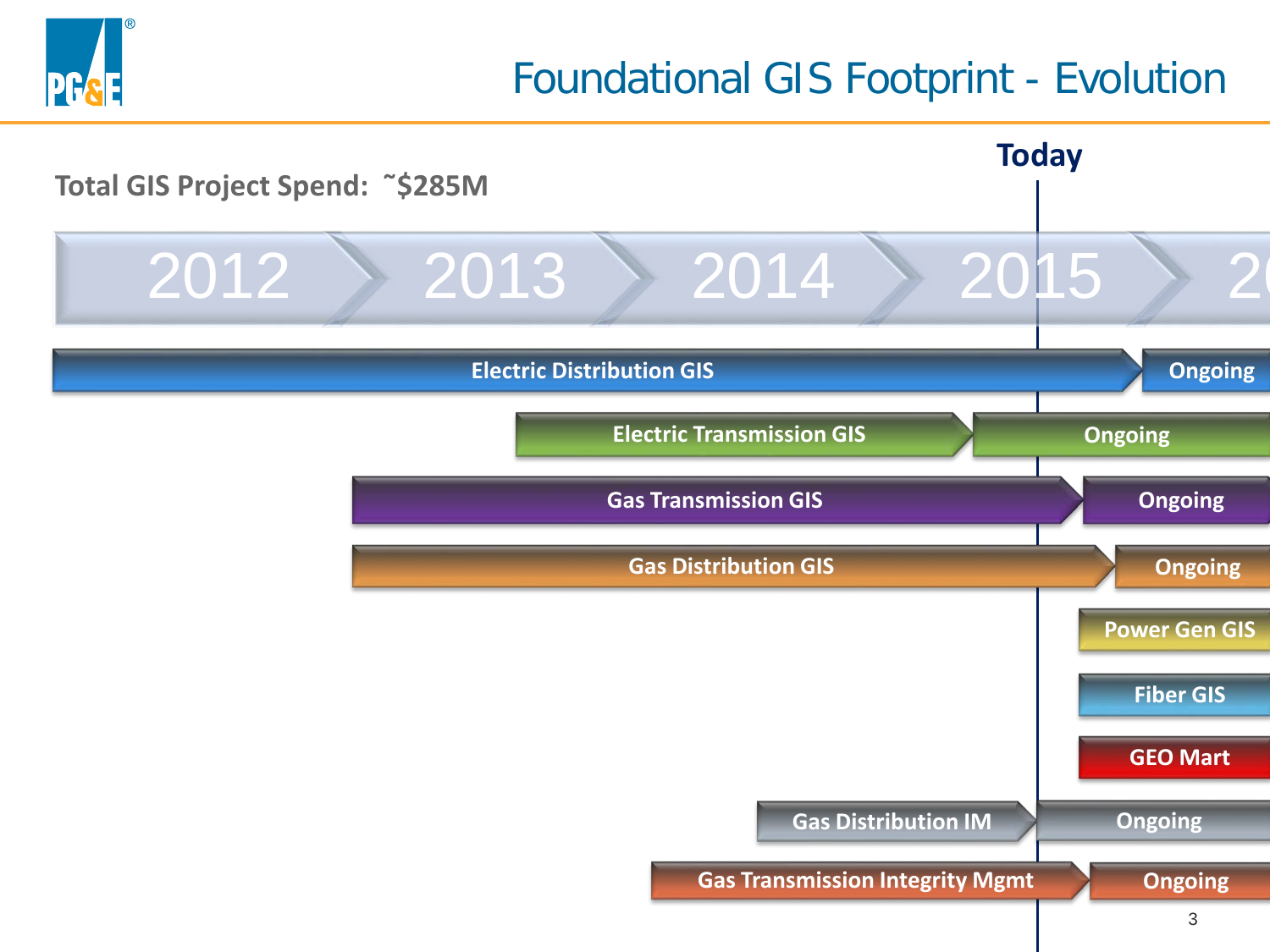

## Foundational GIS Footprint - Evolution

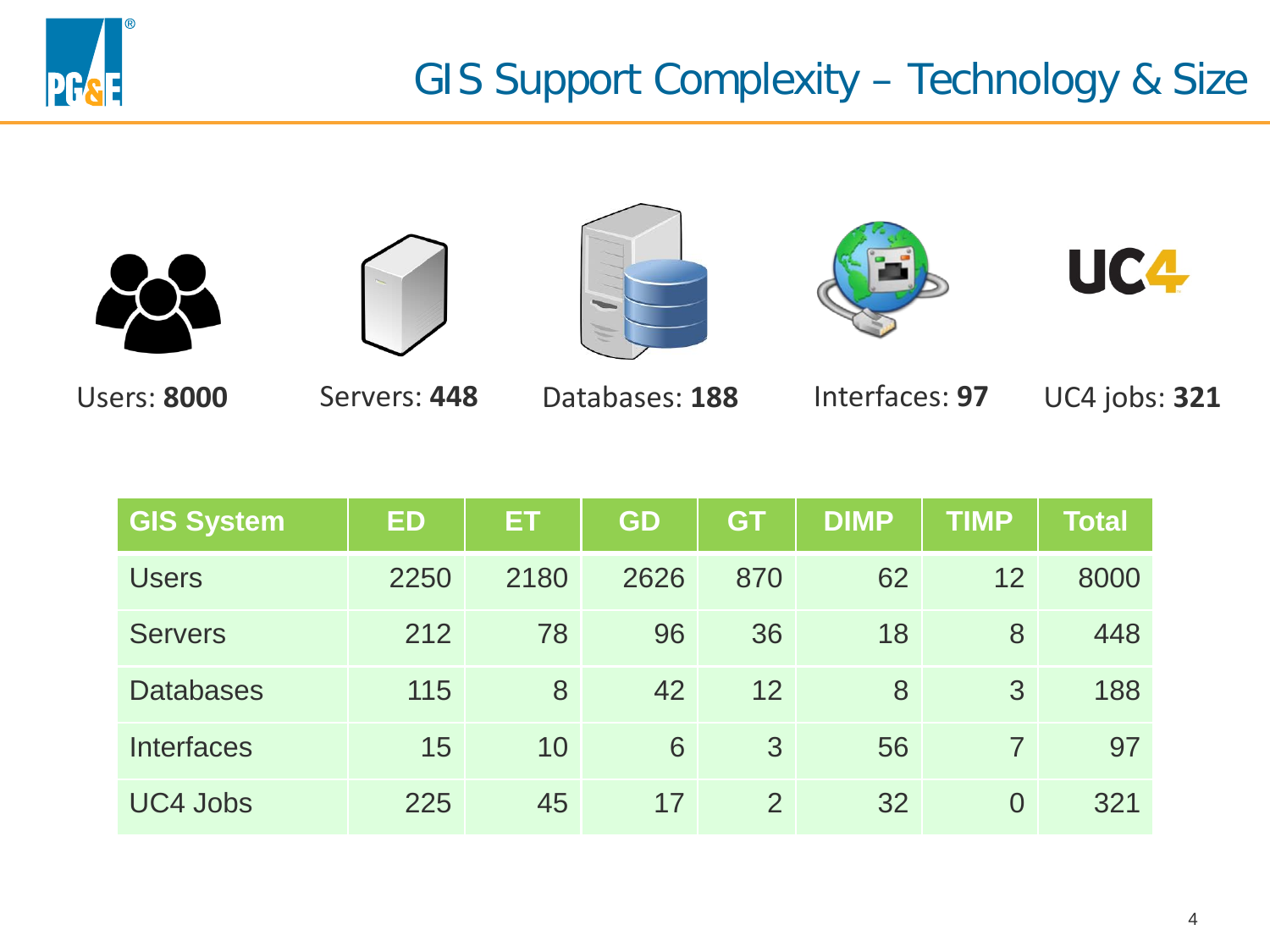











Users: **8000** Servers: **448** Databases: **188** Interfaces: **97** UC4 jobs: **321**

| <b>GIS System</b> | <b>ED</b> | ET.  | <b>GD</b> | <b>GT</b>      | <b>DIMP</b> | <b>TIMP</b>    | <b>Total</b> |
|-------------------|-----------|------|-----------|----------------|-------------|----------------|--------------|
| <b>Users</b>      | 2250      | 2180 | 2626      | 870            | 62          | 12             | 8000         |
| <b>Servers</b>    | 212       | 78   | 96        | 36             | 18          | 8              | 448          |
| <b>Databases</b>  | 115       | 8    | 42        | 12             | 8           | 3              | 188          |
| <b>Interfaces</b> | 15        | 10   | 6         | 3              | 56          |                | 97           |
| <b>UC4 Jobs</b>   | 225       | 45   | 17        | $\overline{2}$ | 32          | $\overline{0}$ | 321          |